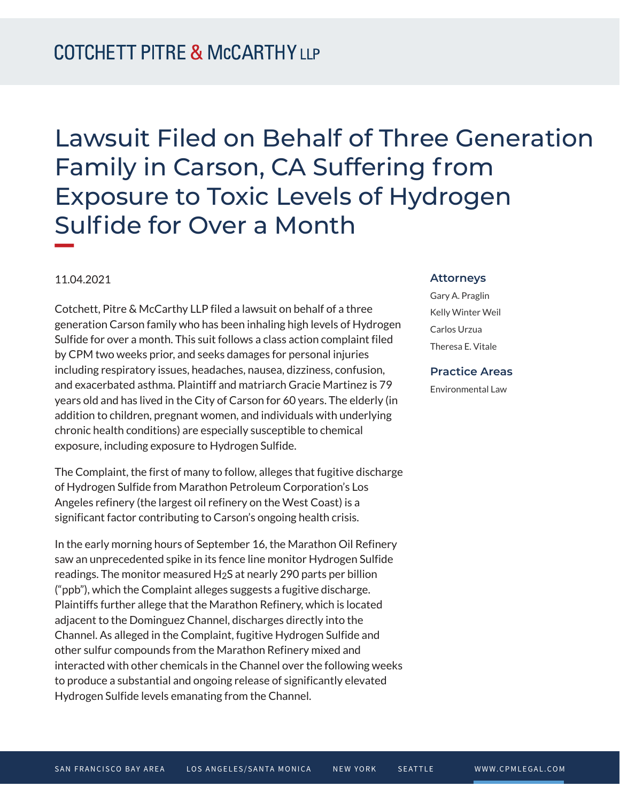Lawsuit Filed on Behalf of Three Generation Family in Carson, CA Suffering from Exposure to Toxic Levels of Hydrogen Sulfide for Over a Month **William Company** 

## 11.04.2021

Cotchett, Pitre & McCarthy LLP filed a lawsuit on behalf of a three generation Carson family who has been inhaling high levels of Hydrogen Sulfide for over a month. This suit follows a class action complaint filed by CPM two weeks prior, and seeks damages for personal injuries including respiratory issues, headaches, nausea, dizziness, confusion, and exacerbated asthma. Plaintiff and matriarch Gracie Martinez is 79 years old and has lived in the City of Carson for 60 years. The elderly (in addition to children, pregnant women, and individuals with underlying chronic health conditions) are especially susceptible to chemical exposure, including exposure to Hydrogen Sulfide.

The Complaint, the first of many to follow, alleges that fugitive discharge of Hydrogen Sulfide from Marathon Petroleum Corporation's Los Angeles refinery (the largest oil refinery on the West Coast) is a significant factor contributing to Carson's ongoing health crisis.

In the early morning hours of September 16, the Marathon Oil Refinery saw an unprecedented spike in its fence line monitor Hydrogen Sulfide readings. The monitor measured  $H_2S$  at nearly 290 parts per billion ("ppb"), which the Complaint alleges suggests a fugitive discharge. Plaintiffs further allege that the Marathon Refinery, which is located adjacent to the Dominguez Channel, discharges directly into the Channel. As alleged in the Complaint, fugitive Hydrogen Sulfide and other sulfur compounds from the Marathon Refinery mixed and interacted with other chemicals in the Channel over the following weeks to produce a substantial and ongoing release of significantly elevated Hydrogen Sulfide levels emanating from the Channel.

## **Attorneys**

Gary A. Praglin Kelly Winter Weil Carlos Urzua Theresa E. Vitale

## **Practice Areas**

Environmental Law